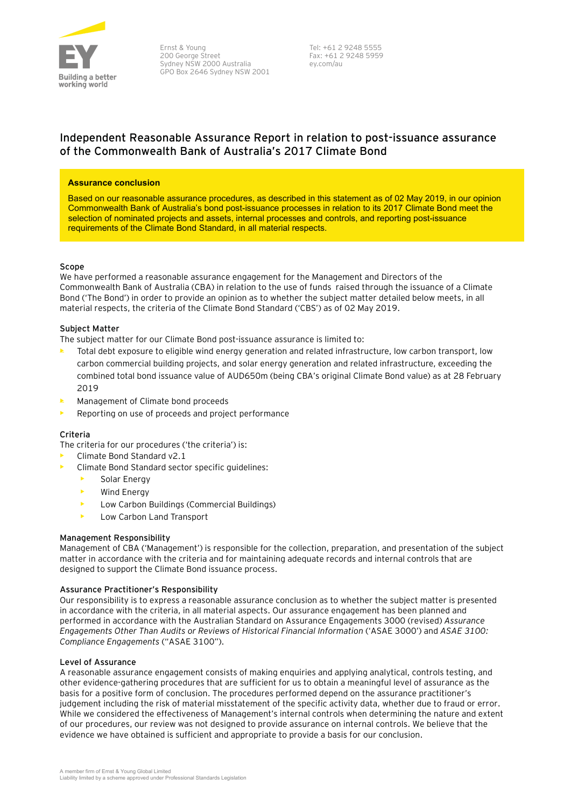

Ernst & Young 200 George Street Sydney NSW 2000 Australia GPO Box 2646 Sydney NSW 2001

 Tel: +61 2 9248 5555 Fax: +61 2 9248 5959 ey.com/au

# **Independent Reasonable Assurance Report in relation to post-issuance assurance of the Commonwealth Bank of Australia's 2017 Climate Bond**

#### **Assurance conclusion**

Based on our reasonable assurance procedures, as described in this statement as of 02 May 2019, in our opinion Commonwealth Bank of Australia's bond post-issuance processes in relation to its 2017 Climate Bond meet the selection of nominated projects and assets, internal processes and controls, and reporting post-issuance requirements of the Climate Bond Standard, in all material respects.

#### **Scope**

We have performed a reasonable assurance engagement for the Management and Directors of the Commonwealth Bank of Australia (CBA) in relation to the use of funds raised through the issuance of a Climate Bond ('The Bond') in order to provide an opinion as to whether the subject matter detailed below meets, in all material respects, the criteria of the Climate Bond Standard ('CBS') as of 02 May 2019.

# **Subject Matter**

The subject matter for our Climate Bond post-issuance assurance is limited to:

- Total debt exposure to eligible wind energy generation and related infrastructure, low carbon transport, low carbon commercial building projects, and solar energy generation and related infrastructure, exceeding the combined total bond issuance value of AUD650m (being CBA's original Climate Bond value) as at 28 February 2019
- Management of Climate bond proceeds
- Reporting on use of proceeds and project performance

#### **Criteria**

The criteria for our procedures ('the criteria') is:

- Climate Bond Standard v2.1
- Climate Bond Standard sector specific guidelines:
	- Solar Energy
	- Wind Energy
	- Low Carbon Buildings (Commercial Buildings)
	- Low Carbon Land Transport

#### **Management Responsibility**

Management of CBA ('Management') is responsible for the collection, preparation, and presentation of the subject matter in accordance with the criteria and for maintaining adequate records and internal controls that are designed to support the Climate Bond issuance process.

#### **Assurance Practitioner's Responsibility**

Our responsibility is to express a reasonable assurance conclusion as to whether the subject matter is presented in accordance with the criteria, in all material aspects. Our assurance engagement has been planned and performed in accordance with the Australian Standard on Assurance Engagements 3000 (revised) *Assurance Engagements Other Than Audits or Reviews of Historical Financial Information* ('ASAE 3000') and *ASAE 3100: Compliance Engagements* ("ASAE 3100").

#### **Level of Assurance**

A reasonable assurance engagement consists of making enquiries and applying analytical, controls testing, and other evidence-gathering procedures that are sufficient for us to obtain a meaningful level of assurance as the basis for a positive form of conclusion. The procedures performed depend on the assurance practitioner's judgement including the risk of material misstatement of the specific activity data, whether due to fraud or error. While we considered the effectiveness of Management's internal controls when determining the nature and extent of our procedures, our review was not designed to provide assurance on internal controls. We believe that the evidence we have obtained is sufficient and appropriate to provide a basis for our conclusion.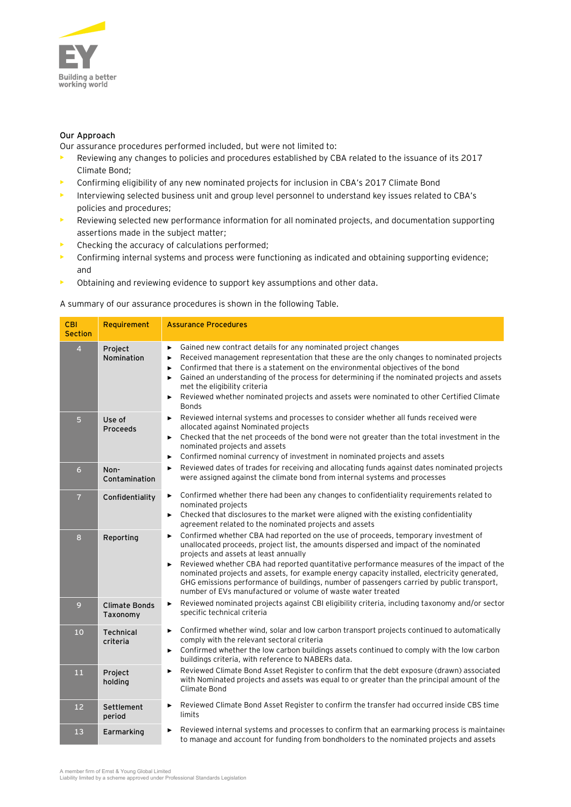

# **Our Approach**

Our assurance procedures performed included, but were not limited to:

- Reviewing any changes to policies and procedures established by CBA related to the issuance of its 2017 Climate Bond;
- Confirming eligibility of any new nominated projects for inclusion in CBA's 2017 Climate Bond
- Interviewing selected business unit and group level personnel to understand key issues related to CBA's policies and procedures;
- Reviewing selected new performance information for all nominated projects, and documentation supporting assertions made in the subject matter;
- Checking the accuracy of calculations performed;
- Confirming internal systems and process were functioning as indicated and obtaining supporting evidence; and
- Obtaining and reviewing evidence to support key assumptions and other data.

# A summary of our assurance procedures is shown in the following Table.

| <b>CBI</b><br><b>Section</b> | Requirement                      | <b>Assurance Procedures</b>                                                                                                                                                                                                                                                                                                                                                                                                                                                                                                                                                            |
|------------------------------|----------------------------------|----------------------------------------------------------------------------------------------------------------------------------------------------------------------------------------------------------------------------------------------------------------------------------------------------------------------------------------------------------------------------------------------------------------------------------------------------------------------------------------------------------------------------------------------------------------------------------------|
| $\overline{4}$               | Project<br>Nomination            | Gained new contract details for any nominated project changes<br>►<br>Received management representation that these are the only changes to nominated projects<br>▶<br>Confirmed that there is a statement on the environmental objectives of the bond<br>▶<br>Gained an understanding of the process for determining if the nominated projects and assets<br>▶<br>met the eligibility criteria<br>Reviewed whether nominated projects and assets were nominated to other Certified Climate<br>▶<br><b>Bonds</b>                                                                       |
| 5                            | Use of<br>Proceeds               | Reviewed internal systems and processes to consider whether all funds received were<br>►<br>allocated against Nominated projects<br>Checked that the net proceeds of the bond were not greater than the total investment in the<br>►<br>nominated projects and assets<br>Confirmed nominal currency of investment in nominated projects and assets<br>▶                                                                                                                                                                                                                                |
| $\epsilon$                   | Non-<br>Contamination            | Reviewed dates of trades for receiving and allocating funds against dates nominated projects<br>►<br>were assigned against the climate bond from internal systems and processes                                                                                                                                                                                                                                                                                                                                                                                                        |
| $\overline{7}$               | Confidentiality                  | Confirmed whether there had been any changes to confidentiality requirements related to<br>Þ.<br>nominated projects<br>$\triangleright$ Checked that disclosures to the market were aligned with the existing confidentiality<br>agreement related to the nominated projects and assets                                                                                                                                                                                                                                                                                                |
| $\boldsymbol{8}$             | Reporting                        | Confirmed whether CBA had reported on the use of proceeds, temporary investment of<br>▶<br>unallocated proceeds, project list, the amounts dispersed and impact of the nominated<br>projects and assets at least annually<br>Reviewed whether CBA had reported quantitative performance measures of the impact of the<br>▶<br>nominated projects and assets, for example energy capacity installed, electricity generated,<br>GHG emissions performance of buildings, number of passengers carried by public transport,<br>number of EVs manufactured or volume of waste water treated |
| 9                            | <b>Climate Bonds</b><br>Taxonomy | Reviewed nominated projects against CBI eligibility criteria, including taxonomy and/or sector<br>▶<br>specific technical criteria                                                                                                                                                                                                                                                                                                                                                                                                                                                     |
| 10                           | <b>Technical</b><br>criteria     | Confirmed whether wind, solar and low carbon transport projects continued to automatically<br>▶<br>comply with the relevant sectoral criteria<br>► Confirmed whether the low carbon buildings assets continued to comply with the low carbon<br>buildings criteria, with reference to NABERs data.                                                                                                                                                                                                                                                                                     |
| 11                           | Project<br>holding               | Reviewed Climate Bond Asset Register to confirm that the debt exposure (drawn) associated<br>▶<br>with Nominated projects and assets was equal to or greater than the principal amount of the<br>Climate Bond                                                                                                                                                                                                                                                                                                                                                                          |
| 12                           | Settlement<br>period             | Reviewed Climate Bond Asset Register to confirm the transfer had occurred inside CBS time<br>▶<br>limits                                                                                                                                                                                                                                                                                                                                                                                                                                                                               |
| 13                           | Earmarking                       | Reviewed internal systems and processes to confirm that an earmarking process is maintained<br>▶<br>to manage and account for funding from bondholders to the nominated projects and assets                                                                                                                                                                                                                                                                                                                                                                                            |